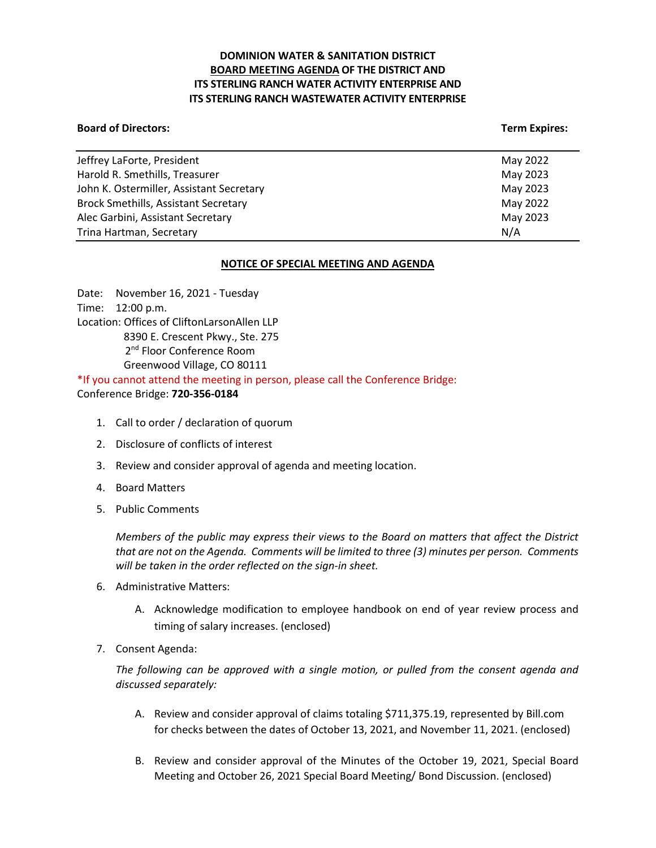# **DOMINION WATER & SANITATION DISTRICT BOARD MEETING AGENDA OF THE DISTRICT AND ITS STERLING RANCH WATER ACTIVITY ENTERPRISE AND ITS STERLING RANCH WASTEWATER ACTIVITY ENTERPRISE**

### **Board of Directors:** Term Expires: Term Expires: Term Expires: Term Expires: Term Expires: Term Expires: Term Expires: Term Expires: Term Expires: Term Expires: Term Expires: Term Expires: Term Expires: Term Expires: Term

| May 2022 |
|----------|
| May 2023 |
| May 2023 |
| May 2022 |
| May 2023 |
| N/A      |
|          |

## **NOTICE OF SPECIAL MEETING AND AGENDA**

Date: November 16, 2021 - Tuesday Time: 12:00 p.m. Location: Offices of CliftonLarsonAllen LLP 8390 E. Crescent Pkwy., Ste. 275 2<sup>nd</sup> Floor Conference Room Greenwood Village, CO 80111 \*If you cannot attend the meeting in person, please call the Conference Bridge:

Conference Bridge: **720-356-0184**

- 1. Call to order / declaration of quorum
- 2. Disclosure of conflicts of interest
- 3. Review and consider approval of agenda and meeting location.
- 4. Board Matters
- 5. Public Comments

*Members of the public may express their views to the Board on matters that affect the District that are not on the Agenda. Comments will be limited to three (3) minutes per person. Comments will be taken in the order reflected on the sign-in sheet.* 

- 6. Administrative Matters:
	- A. Acknowledge modification to employee handbook on end of year review process and timing of salary increases. (enclosed)
- 7. Consent Agenda:

*The following can be approved with a single motion, or pulled from the consent agenda and discussed separately:*

- A. Review and consider approval of claims totaling \$711,375.19, represented by Bill.com for checks between the dates of October 13, 2021, and November 11, 2021. (enclosed)
- B. Review and consider approval of the Minutes of the October 19, 2021, Special Board Meeting and October 26, 2021 Special Board Meeting/ Bond Discussion. (enclosed)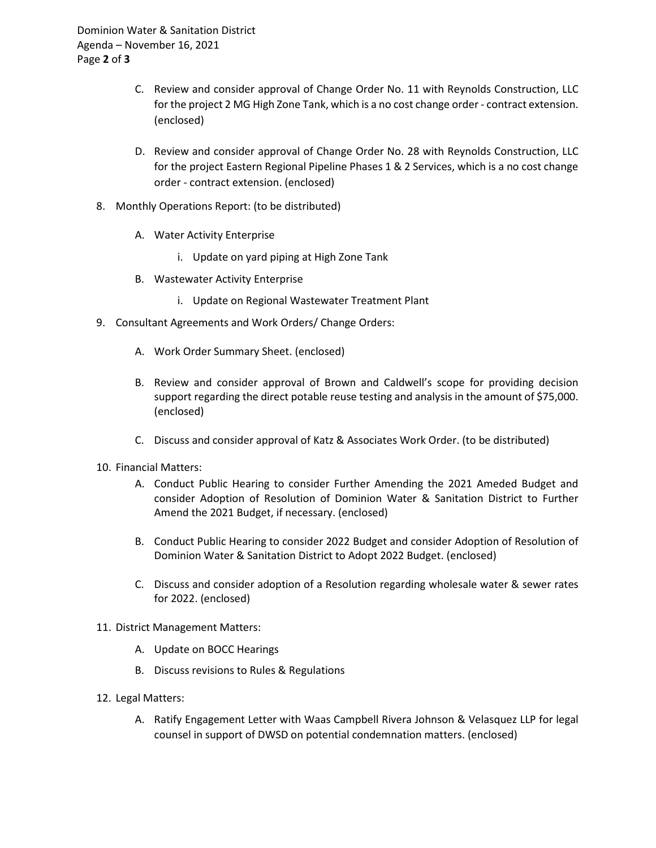Dominion Water & Sanitation District Agenda – November 16, 2021 Page **2** of **3**

- C. Review and consider approval of Change Order No. 11 with Reynolds Construction, LLC for the project 2 MG High Zone Tank, which is a no cost change order - contract extension. (enclosed)
- D. Review and consider approval of Change Order No. 28 with Reynolds Construction, LLC for the project Eastern Regional Pipeline Phases 1 & 2 Services, which is a no cost change order - contract extension. (enclosed)
- 8. Monthly Operations Report: (to be distributed)
	- A. Water Activity Enterprise
		- i. Update on yard piping at High Zone Tank
	- B. Wastewater Activity Enterprise
		- i. Update on Regional Wastewater Treatment Plant
- 9. Consultant Agreements and Work Orders/ Change Orders:
	- A. Work Order Summary Sheet. (enclosed)
	- B. Review and consider approval of Brown and Caldwell's scope for providing decision support regarding the direct potable reuse testing and analysis in the amount of \$75,000. (enclosed)
	- C. Discuss and consider approval of Katz & Associates Work Order. (to be distributed)
- 10. Financial Matters:
	- A. Conduct Public Hearing to consider Further Amending the 2021 Ameded Budget and consider Adoption of Resolution of Dominion Water & Sanitation District to Further Amend the 2021 Budget, if necessary. (enclosed)
	- B. Conduct Public Hearing to consider 2022 Budget and consider Adoption of Resolution of Dominion Water & Sanitation District to Adopt 2022 Budget. (enclosed)
	- C. Discuss and consider adoption of a Resolution regarding wholesale water & sewer rates for 2022. (enclosed)
- 11. District Management Matters:
	- A. Update on BOCC Hearings
	- B. Discuss revisions to Rules & Regulations
- 12. Legal Matters:
	- A. Ratify Engagement Letter with Waas Campbell Rivera Johnson & Velasquez LLP for legal counsel in support of DWSD on potential condemnation matters. (enclosed)